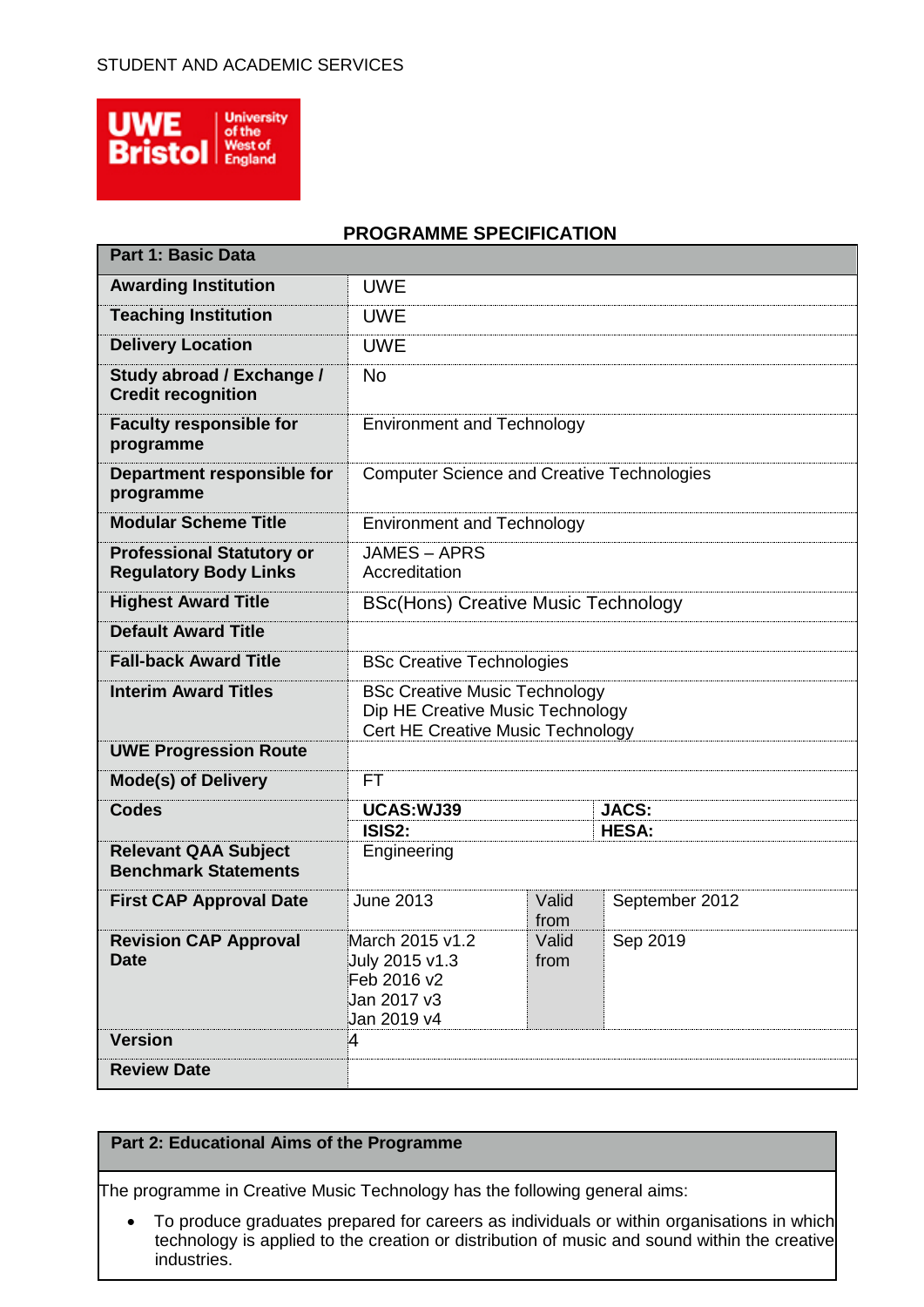

## **PROGRAMME SPECIFICATION**

| <b>Part 1: Basic Data</b>                                        |                                                                                                               |                                  |                |  |
|------------------------------------------------------------------|---------------------------------------------------------------------------------------------------------------|----------------------------------|----------------|--|
| <b>Awarding Institution</b>                                      | <b>UWE</b>                                                                                                    |                                  |                |  |
| <b>Teaching Institution</b>                                      | <b>UWE</b>                                                                                                    |                                  |                |  |
| <b>Delivery Location</b>                                         | <b>UWE</b>                                                                                                    |                                  |                |  |
| Study abroad / Exchange /<br><b>Credit recognition</b>           | <b>No</b>                                                                                                     |                                  |                |  |
| <b>Faculty responsible for</b><br>programme                      | <b>Environment and Technology</b>                                                                             |                                  |                |  |
| Department responsible for<br>programme                          | <b>Computer Science and Creative Technologies</b>                                                             |                                  |                |  |
| <b>Modular Scheme Title</b>                                      | <b>Environment and Technology</b>                                                                             |                                  |                |  |
| <b>Professional Statutory or</b><br><b>Regulatory Body Links</b> | <b>JAMES-APRS</b><br>Accreditation                                                                            |                                  |                |  |
| <b>Highest Award Title</b>                                       | <b>BSc(Hons) Creative Music Technology</b>                                                                    |                                  |                |  |
| <b>Default Award Title</b>                                       |                                                                                                               |                                  |                |  |
| <b>Fall-back Award Title</b>                                     |                                                                                                               | <b>BSc Creative Technologies</b> |                |  |
| <b>Interim Award Titles</b>                                      | <b>BSc Creative Music Technology</b><br>Dip HE Creative Music Technology<br>Cert HE Creative Music Technology |                                  |                |  |
| <b>UWE Progression Route</b>                                     |                                                                                                               |                                  |                |  |
| <b>Mode(s) of Delivery</b>                                       | <b>FT</b>                                                                                                     |                                  |                |  |
| <b>Codes</b>                                                     | UCAS: WJ39                                                                                                    |                                  | <b>JACS:</b>   |  |
| <b>Relevant QAA Subject</b><br><b>Benchmark Statements</b>       | Engineering                                                                                                   | ISIS2:<br><b>HESA:</b>           |                |  |
| <b>First CAP Approval Date</b>                                   | <b>June 2013</b>                                                                                              | Valid<br>from                    | September 2012 |  |
| <b>Revision CAP Approval</b><br><b>Date</b>                      | March 2015 v1.2<br>July 2015 v1.3<br>Feb 2016 v2<br>Jan 2017 v3<br>Jan 2019 v4                                | Valid<br>from                    | Sep 2019       |  |
| <b>Version</b>                                                   | 4                                                                                                             |                                  |                |  |
| <b>Review Date</b>                                               |                                                                                                               |                                  |                |  |

## **Part 2: Educational Aims of the Programme**

The programme in Creative Music Technology has the following general aims:

 To produce graduates prepared for careers as individuals or within organisations in which technology is applied to the creation or distribution of music and sound within the creative industries.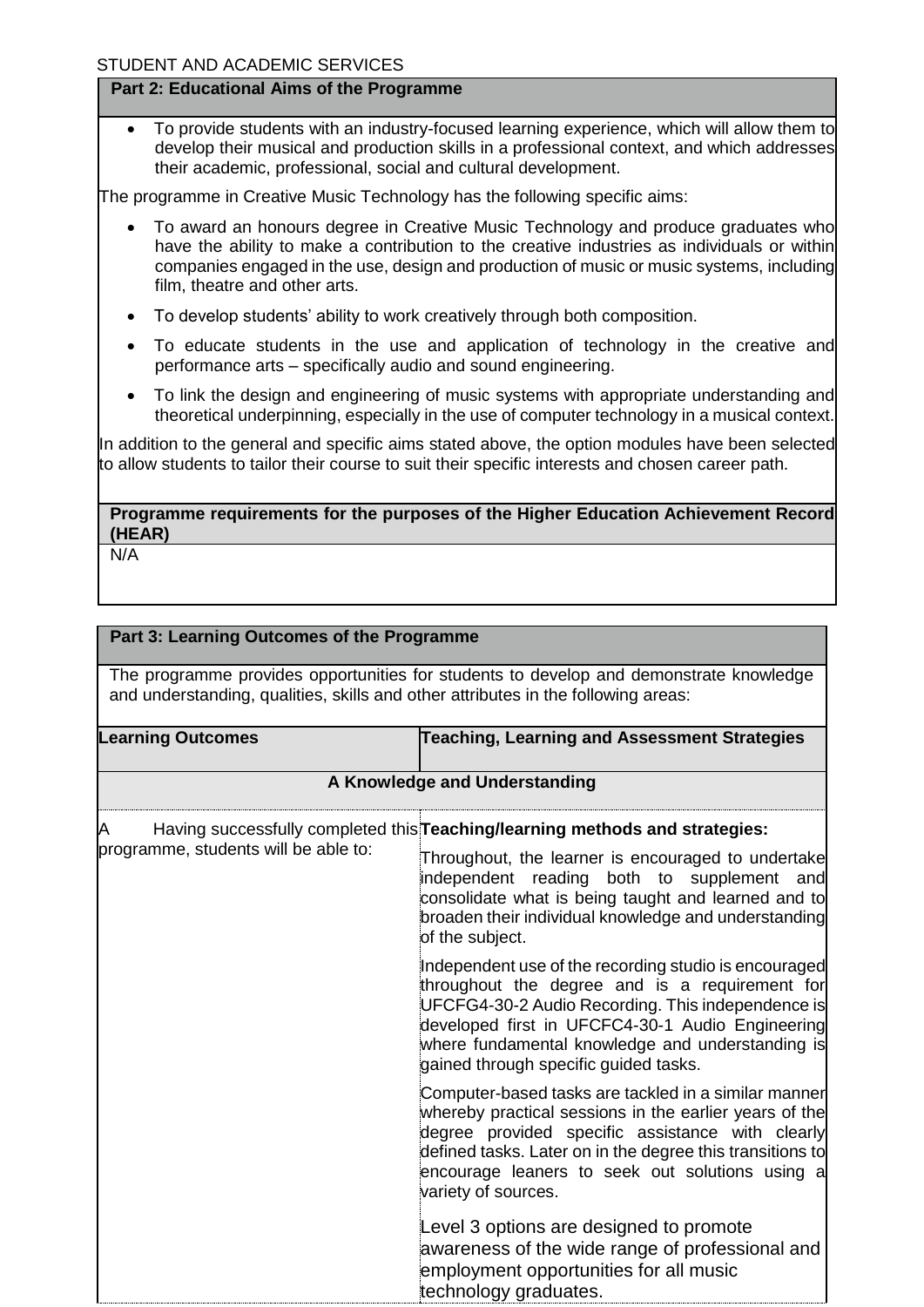#### **Part 2: Educational Aims of the Programme**

 To provide students with an industry-focused learning experience, which will allow them to develop their musical and production skills in a professional context, and which addresses their academic, professional, social and cultural development.

The programme in Creative Music Technology has the following specific aims:

- To award an honours degree in Creative Music Technology and produce graduates who have the ability to make a contribution to the creative industries as individuals or within companies engaged in the use, design and production of music or music systems, including film, theatre and other arts.
- To develop students' ability to work creatively through both composition.
- To educate students in the use and application of technology in the creative and performance arts – specifically audio and sound engineering.
- To link the design and engineering of music systems with appropriate understanding and theoretical underpinning, especially in the use of computer technology in a musical context.

In addition to the general and specific aims stated above, the option modules have been selected to allow students to tailor their course to suit their specific interests and chosen career path.

**Programme requirements for the purposes of the Higher Education Achievement Record (HEAR)**

N/A

# **Part 3: Learning Outcomes of the Programme** The programme provides opportunities for students to develop and demonstrate knowledge and understanding, qualities, skills and other attributes in the following areas: **Learning Outcomes Teaching, Learning and Assessment Strategies A Knowledge and Understanding** A Having successfully completed this **Teaching/learning methods and strategies:** programme, students will be able to: Throughout, the learner is encouraged to undertake independent reading both to supplement and consolidate what is being taught and learned and to broaden their individual knowledge and understanding of the subject. Independent use of the recording studio is encouraged throughout the degree and is a requirement for UFCFG4-30-2 Audio Recording. This independence is developed first in UFCFC4-30-1 Audio Engineering where fundamental knowledge and understanding is gained through specific guided tasks. Computer-based tasks are tackled in a similar manner whereby practical sessions in the earlier years of the degree provided specific assistance with clearly defined tasks. Later on in the degree this transitions to encourage leaners to seek out solutions using a variety of sources. Level 3 options are designed to promote awareness of the wide range of professional and employment opportunities for all music technology graduates.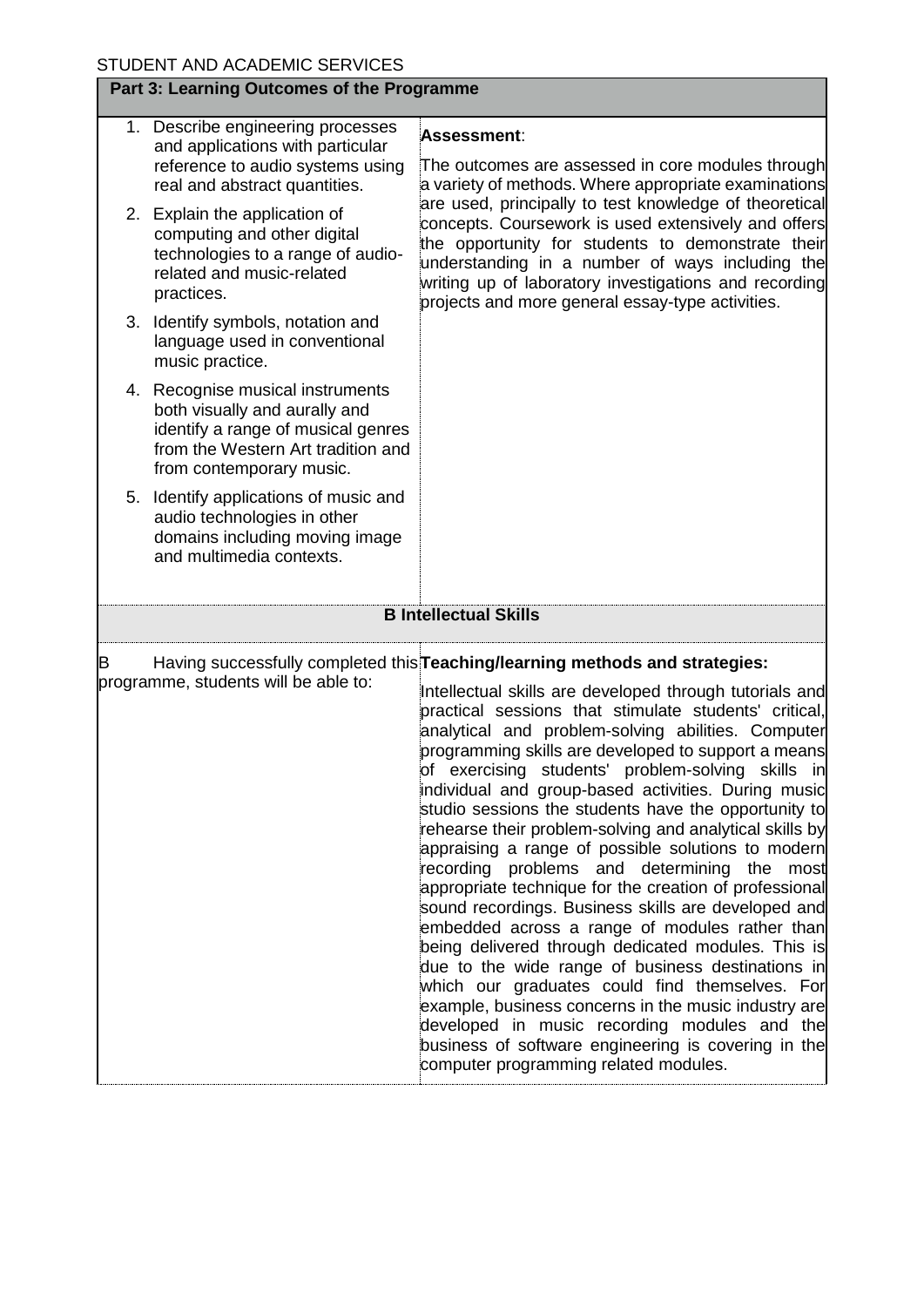| Part 3: Learning Outcomes of the Programme |                                                                                                                                                                           |                                                                                                                                                                                                                                                                                                                                                                                                                                                                                                                                                                                                                                                                                                                                                                                                                                                                                                                                                                                                                                                                                                                                                                                                     |  |  |
|--------------------------------------------|---------------------------------------------------------------------------------------------------------------------------------------------------------------------------|-----------------------------------------------------------------------------------------------------------------------------------------------------------------------------------------------------------------------------------------------------------------------------------------------------------------------------------------------------------------------------------------------------------------------------------------------------------------------------------------------------------------------------------------------------------------------------------------------------------------------------------------------------------------------------------------------------------------------------------------------------------------------------------------------------------------------------------------------------------------------------------------------------------------------------------------------------------------------------------------------------------------------------------------------------------------------------------------------------------------------------------------------------------------------------------------------------|--|--|
|                                            | 1. Describe engineering processes<br>and applications with particular<br>reference to audio systems using<br>real and abstract quantities.                                | Assessment:<br>The outcomes are assessed in core modules through<br>a variety of methods. Where appropriate examinations                                                                                                                                                                                                                                                                                                                                                                                                                                                                                                                                                                                                                                                                                                                                                                                                                                                                                                                                                                                                                                                                            |  |  |
|                                            | 2. Explain the application of<br>computing and other digital<br>technologies to a range of audio-<br>related and music-related<br>practices.                              | are used, principally to test knowledge of theoretical<br>concepts. Coursework is used extensively and offers<br>the opportunity for students to demonstrate their<br>understanding in a number of ways including the<br>writing up of laboratory investigations and recording<br>projects and more general essay-type activities.                                                                                                                                                                                                                                                                                                                                                                                                                                                                                                                                                                                                                                                                                                                                                                                                                                                                  |  |  |
|                                            | 3. Identify symbols, notation and<br>language used in conventional<br>music practice.                                                                                     |                                                                                                                                                                                                                                                                                                                                                                                                                                                                                                                                                                                                                                                                                                                                                                                                                                                                                                                                                                                                                                                                                                                                                                                                     |  |  |
|                                            | 4. Recognise musical instruments<br>both visually and aurally and<br>identify a range of musical genres<br>from the Western Art tradition and<br>from contemporary music. |                                                                                                                                                                                                                                                                                                                                                                                                                                                                                                                                                                                                                                                                                                                                                                                                                                                                                                                                                                                                                                                                                                                                                                                                     |  |  |
|                                            | 5. Identify applications of music and<br>audio technologies in other<br>domains including moving image<br>and multimedia contexts.                                        |                                                                                                                                                                                                                                                                                                                                                                                                                                                                                                                                                                                                                                                                                                                                                                                                                                                                                                                                                                                                                                                                                                                                                                                                     |  |  |
|                                            |                                                                                                                                                                           | <b>B Intellectual Skills</b>                                                                                                                                                                                                                                                                                                                                                                                                                                                                                                                                                                                                                                                                                                                                                                                                                                                                                                                                                                                                                                                                                                                                                                        |  |  |
| B                                          | programme, students will be able to:                                                                                                                                      | Having successfully completed this <b>Teaching/learning methods and strategies:</b><br>Intellectual skills are developed through tutorials and<br>practical sessions that stimulate students' critical,<br>analytical and problem-solving abilities. Computer<br>programming skills are developed to support a means<br>of exercising students' problem-solving skills in<br>individual and group-based activities. During music<br>studio sessions the students have the opportunity to<br>rehearse their problem-solving and analytical skills by<br>appraising a range of possible solutions to modern<br>recording problems and determining the<br>most<br>appropriate technique for the creation of professional<br>sound recordings. Business skills are developed and<br>embedded across a range of modules rather than<br>being delivered through dedicated modules. This is<br>due to the wide range of business destinations in<br>which our graduates could find themselves. For<br>example, business concerns in the music industry are<br>developed in music recording modules and the<br>business of software engineering is covering in the<br>computer programming related modules. |  |  |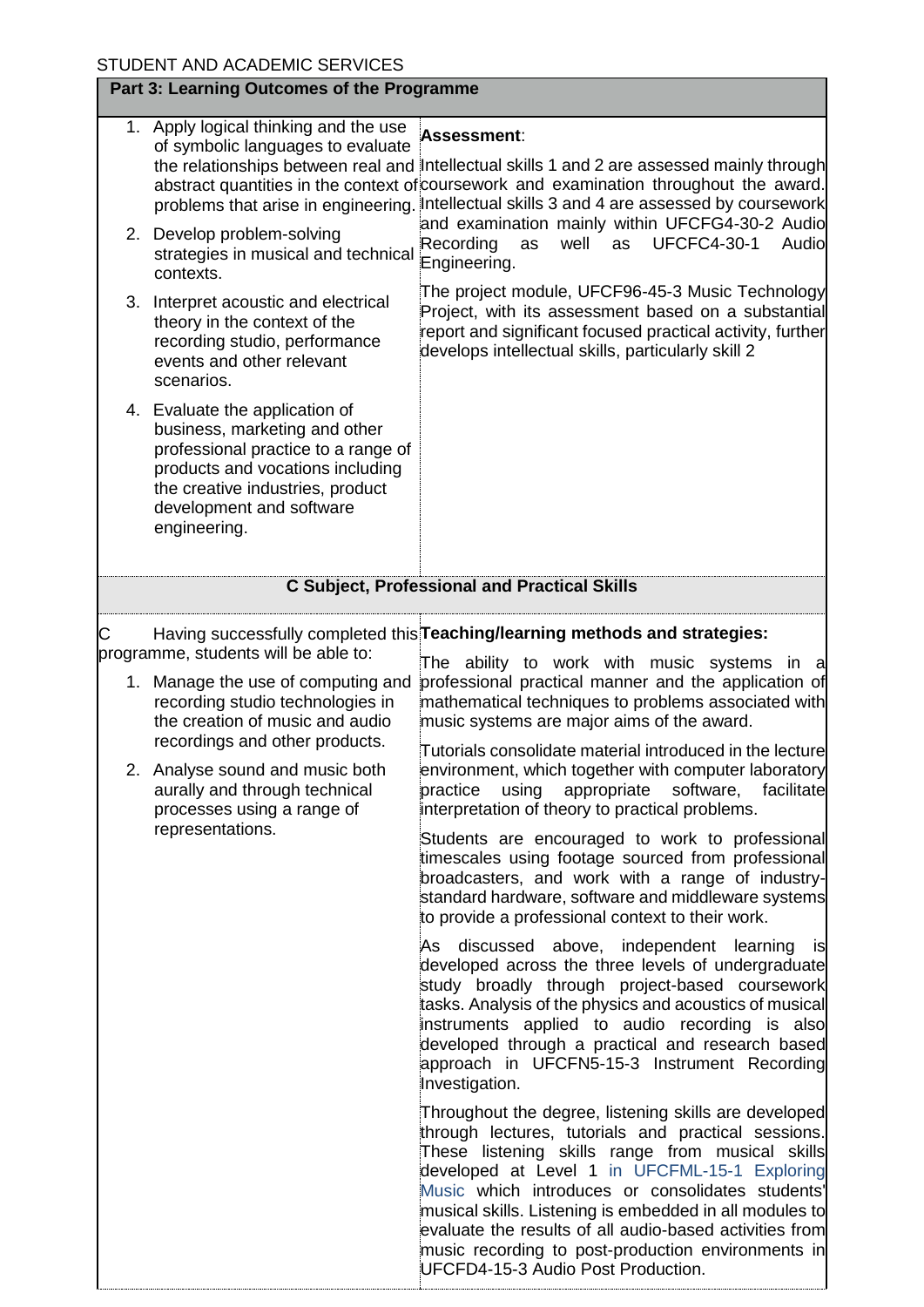|   |  | STUDENT AND ACADEMIC SERVICES                                                                                                                                                                                                                                     |                                                                                                                                                                                                                                                                                                                                                                                        |
|---|--|-------------------------------------------------------------------------------------------------------------------------------------------------------------------------------------------------------------------------------------------------------------------|----------------------------------------------------------------------------------------------------------------------------------------------------------------------------------------------------------------------------------------------------------------------------------------------------------------------------------------------------------------------------------------|
|   |  | Part 3: Learning Outcomes of the Programme                                                                                                                                                                                                                        |                                                                                                                                                                                                                                                                                                                                                                                        |
|   |  | 1. Apply logical thinking and the use<br>of symbolic languages to evaluate<br>problems that arise in engineering.                                                                                                                                                 | Assessment:<br>the relationships between real and Intellectual skills 1 and 2 are assessed mainly through<br>abstract quantities in the context of coursework and examination throughout the award.<br>Intellectual skills 3 and 4 are assessed by coursework                                                                                                                          |
|   |  | 2. Develop problem-solving<br>strategies in musical and technical<br>contexts.                                                                                                                                                                                    | and examination mainly within UFCFG4-30-2 Audio<br>Recording<br>well<br>as<br><b>UFCFC4-30-1</b><br>Audio<br>as<br>Engineering.                                                                                                                                                                                                                                                        |
|   |  | 3. Interpret acoustic and electrical<br>theory in the context of the<br>recording studio, performance<br>events and other relevant<br>scenarios.                                                                                                                  | The project module, UFCF96-45-3 Music Technology<br>Project, with its assessment based on a substantial<br>report and significant focused practical activity, further<br>develops intellectual skills, particularly skill 2                                                                                                                                                            |
|   |  | 4. Evaluate the application of<br>business, marketing and other<br>professional practice to a range of<br>products and vocations including<br>the creative industries, product<br>development and software<br>engineering.                                        |                                                                                                                                                                                                                                                                                                                                                                                        |
|   |  |                                                                                                                                                                                                                                                                   | <b>C Subject, Professional and Practical Skills</b>                                                                                                                                                                                                                                                                                                                                    |
| С |  | programme, students will be able to:                                                                                                                                                                                                                              | Having successfully completed this Teaching/learning methods and strategies:<br>The ability to work with music systems in a                                                                                                                                                                                                                                                            |
|   |  | 1. Manage the use of computing and<br>recording studio technologies in<br>the creation of music and audio<br>recordings and other products.<br>2. Analyse sound and music both<br>aurally and through technical<br>processes using a range of<br>representations. | professional practical manner and the application of<br>mathematical techniques to problems associated with<br>music systems are major aims of the award.                                                                                                                                                                                                                              |
|   |  |                                                                                                                                                                                                                                                                   | Tutorials consolidate material introduced in the lecture<br>environment, which together with computer laboratory<br>practice using appropriate software, facilitate<br>interpretation of theory to practical problems.                                                                                                                                                                 |
|   |  |                                                                                                                                                                                                                                                                   | Students are encouraged to work to professional<br>timescales using footage sourced from professional<br>broadcasters, and work with a range of industry-<br>standard hardware, software and middleware systems<br>to provide a professional context to their work.                                                                                                                    |
|   |  |                                                                                                                                                                                                                                                                   | As discussed above, independent learning is<br>developed across the three levels of undergraduate<br>study broadly through project-based coursework<br>tasks. Analysis of the physics and acoustics of musical<br>instruments applied to audio recording is also<br>developed through a practical and research based<br>approach in UFCFN5-15-3 Instrument Recording<br>Investigation. |
|   |  |                                                                                                                                                                                                                                                                   | Throughout the degree, listening skills are developed<br>through lectures, tutorials and practical sessions.<br>These listening skills range from musical skills<br>developed at Level 1 in UFCFML-15-1 Exploring<br>Music which introduces or consolidates students'<br>musical skills. Listening is embedded in all modules to                                                       |

evaluate the results of all audio-based activities from music recording to post-production environments in

UFCFD4-15-3 Audio Post Production.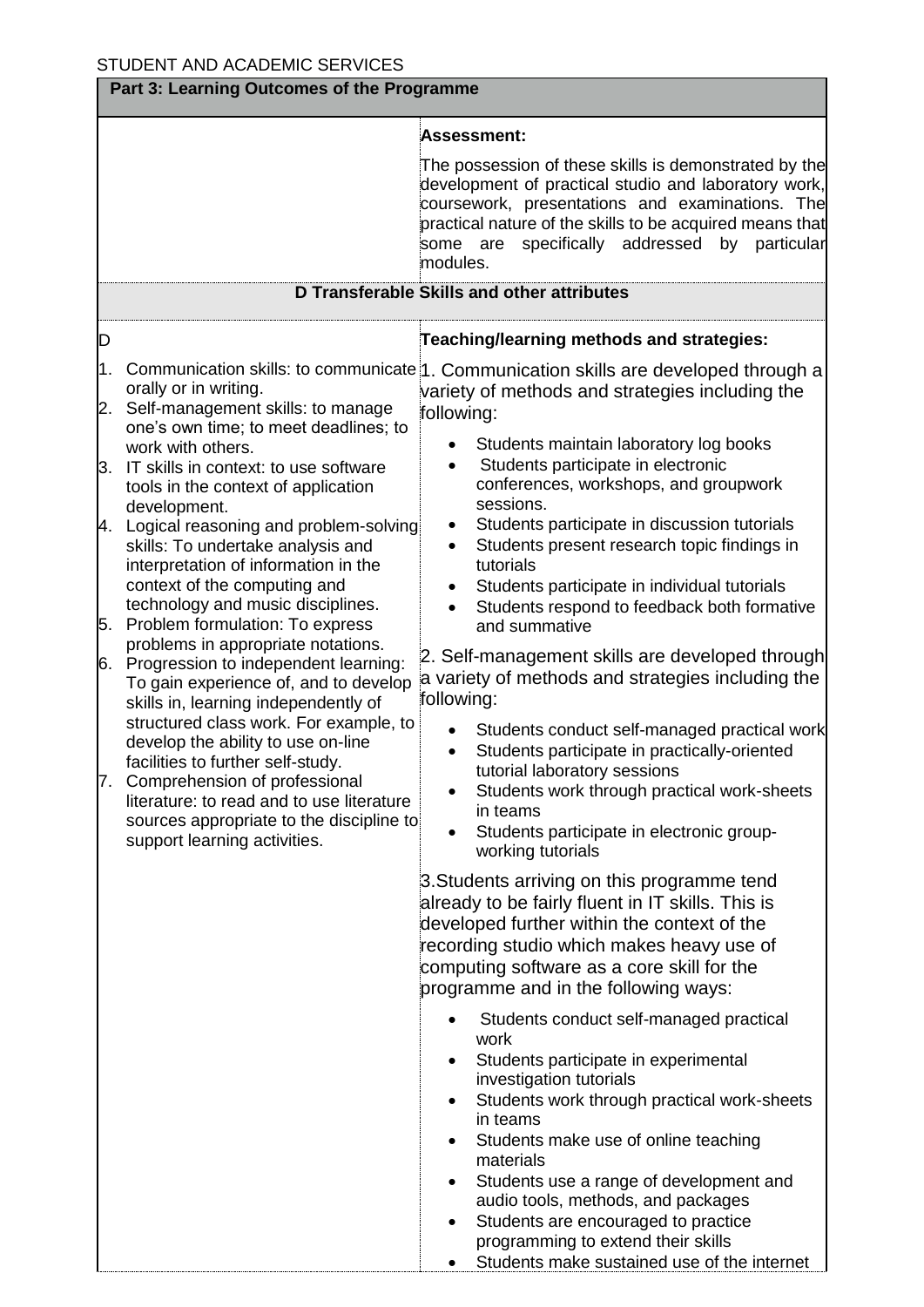|                                         | Part 3: Learning Outcomes of the Programme                                                                                                                                                                                                                                                                                                                                                                                                                                                                                                                                                                                                                                                                                                                                                                                                                                                                 |                                                                                                                                                                                                                                                                                                                                                                                                                                                                                                                                                                                                                                                                                                                                                                                                                                                                                                                                                                                                                                                                                                                                                                                                                                                                                                                                                 |  |  |
|-----------------------------------------|------------------------------------------------------------------------------------------------------------------------------------------------------------------------------------------------------------------------------------------------------------------------------------------------------------------------------------------------------------------------------------------------------------------------------------------------------------------------------------------------------------------------------------------------------------------------------------------------------------------------------------------------------------------------------------------------------------------------------------------------------------------------------------------------------------------------------------------------------------------------------------------------------------|-------------------------------------------------------------------------------------------------------------------------------------------------------------------------------------------------------------------------------------------------------------------------------------------------------------------------------------------------------------------------------------------------------------------------------------------------------------------------------------------------------------------------------------------------------------------------------------------------------------------------------------------------------------------------------------------------------------------------------------------------------------------------------------------------------------------------------------------------------------------------------------------------------------------------------------------------------------------------------------------------------------------------------------------------------------------------------------------------------------------------------------------------------------------------------------------------------------------------------------------------------------------------------------------------------------------------------------------------|--|--|
|                                         |                                                                                                                                                                                                                                                                                                                                                                                                                                                                                                                                                                                                                                                                                                                                                                                                                                                                                                            | Assessment:                                                                                                                                                                                                                                                                                                                                                                                                                                                                                                                                                                                                                                                                                                                                                                                                                                                                                                                                                                                                                                                                                                                                                                                                                                                                                                                                     |  |  |
|                                         |                                                                                                                                                                                                                                                                                                                                                                                                                                                                                                                                                                                                                                                                                                                                                                                                                                                                                                            | The possession of these skills is demonstrated by the<br>development of practical studio and laboratory work,<br>coursework, presentations and examinations. The<br>practical nature of the skills to be acquired means that<br>specifically<br>addressed<br>by<br>particular<br>some are<br>modules.                                                                                                                                                                                                                                                                                                                                                                                                                                                                                                                                                                                                                                                                                                                                                                                                                                                                                                                                                                                                                                           |  |  |
|                                         |                                                                                                                                                                                                                                                                                                                                                                                                                                                                                                                                                                                                                                                                                                                                                                                                                                                                                                            | <b>D Transferable Skills and other attributes</b>                                                                                                                                                                                                                                                                                                                                                                                                                                                                                                                                                                                                                                                                                                                                                                                                                                                                                                                                                                                                                                                                                                                                                                                                                                                                                               |  |  |
| D                                       |                                                                                                                                                                                                                                                                                                                                                                                                                                                                                                                                                                                                                                                                                                                                                                                                                                                                                                            | Teaching/learning methods and strategies:                                                                                                                                                                                                                                                                                                                                                                                                                                                                                                                                                                                                                                                                                                                                                                                                                                                                                                                                                                                                                                                                                                                                                                                                                                                                                                       |  |  |
| 1.<br>2.<br>5.<br>6.<br>$\mathcal{L}$ . | orally or in writing.<br>Self-management skills: to manage<br>one's own time; to meet deadlines; to<br>work with others.<br>3. IT skills in context: to use software<br>tools in the context of application<br>development.<br>4. Logical reasoning and problem-solving<br>skills: To undertake analysis and<br>interpretation of information in the<br>context of the computing and<br>technology and music disciplines.<br>Problem formulation: To express<br>problems in appropriate notations.<br>Progression to independent learning:<br>To gain experience of, and to develop<br>skills in, learning independently of<br>structured class work. For example, to<br>develop the ability to use on-line<br>facilities to further self-study.<br>Comprehension of professional<br>literature: to read and to use literature<br>sources appropriate to the discipline to<br>support learning activities. | Communication skills: to communicate 1. Communication skills are developed through a<br>variety of methods and strategies including the<br>following:<br>Students maintain laboratory log books<br>Students participate in electronic<br>conferences, workshops, and groupwork<br>sessions.<br>Students participate in discussion tutorials<br>$\bullet$<br>Students present research topic findings in<br>$\bullet$<br>tutorials<br>Students participate in individual tutorials<br>$\bullet$<br>Students respond to feedback both formative<br>$\bullet$<br>and summative<br>2. Self-management skills are developed through<br>a variety of methods and strategies including the<br>following:<br>Students conduct self-managed practical work<br>Students participate in practically-oriented<br>tutorial laboratory sessions<br>Students work through practical work-sheets<br>in teams<br>Students participate in electronic group-<br>working tutorials<br>3. Students arriving on this programme tend<br>already to be fairly fluent in IT skills. This is<br>developed further within the context of the<br>recording studio which makes heavy use of<br>computing software as a core skill for the<br>programme and in the following ways:<br>Students conduct self-managed practical<br>work<br>Students participate in experimental |  |  |
|                                         |                                                                                                                                                                                                                                                                                                                                                                                                                                                                                                                                                                                                                                                                                                                                                                                                                                                                                                            | investigation tutorials<br>Students work through practical work-sheets<br>$\bullet$<br>in teams<br>Students make use of online teaching<br>materials<br>Students use a range of development and<br>٠<br>audio tools, methods, and packages<br>Students are encouraged to practice<br>$\bullet$<br>programming to extend their skills<br>Students make sustained use of the internet                                                                                                                                                                                                                                                                                                                                                                                                                                                                                                                                                                                                                                                                                                                                                                                                                                                                                                                                                             |  |  |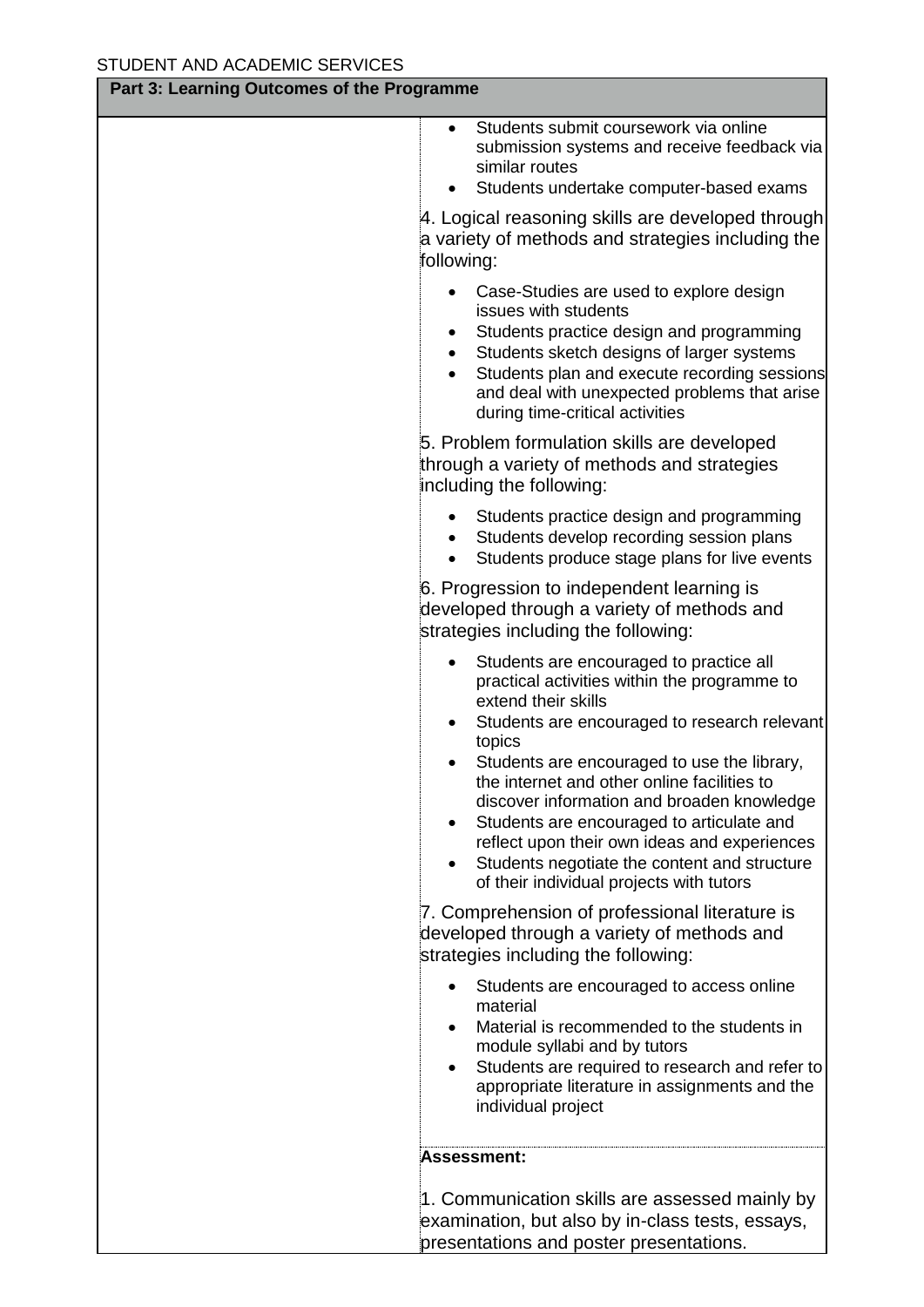| Part 3: Learning Outcomes of the Programme |                                                                                                                                                                                                                                                                                                                                                                                                                                                                                                               |  |  |
|--------------------------------------------|---------------------------------------------------------------------------------------------------------------------------------------------------------------------------------------------------------------------------------------------------------------------------------------------------------------------------------------------------------------------------------------------------------------------------------------------------------------------------------------------------------------|--|--|
|                                            | Students submit coursework via online<br>$\bullet$<br>submission systems and receive feedback via<br>similar routes<br>Students undertake computer-based exams                                                                                                                                                                                                                                                                                                                                                |  |  |
|                                            | 4. Logical reasoning skills are developed through<br>a variety of methods and strategies including the<br>following:                                                                                                                                                                                                                                                                                                                                                                                          |  |  |
|                                            | Case-Studies are used to explore design<br>issues with students<br>Students practice design and programming<br>Students sketch designs of larger systems<br>Students plan and execute recording sessions<br>and deal with unexpected problems that arise<br>during time-critical activities                                                                                                                                                                                                                   |  |  |
|                                            | 5. Problem formulation skills are developed<br>through a variety of methods and strategies<br>including the following:                                                                                                                                                                                                                                                                                                                                                                                        |  |  |
|                                            | Students practice design and programming<br>Students develop recording session plans<br>Students produce stage plans for live events                                                                                                                                                                                                                                                                                                                                                                          |  |  |
|                                            | 6. Progression to independent learning is<br>developed through a variety of methods and<br>strategies including the following:                                                                                                                                                                                                                                                                                                                                                                                |  |  |
|                                            | Students are encouraged to practice all<br>practical activities within the programme to<br>extend their skills<br>Students are encouraged to research relevant<br>topics<br>Students are encouraged to use the library,<br>the internet and other online facilities to<br>discover information and broaden knowledge<br>Students are encouraged to articulate and<br>reflect upon their own ideas and experiences<br>Students negotiate the content and structure<br>of their individual projects with tutors |  |  |
|                                            | 7. Comprehension of professional literature is<br>developed through a variety of methods and<br>strategies including the following:                                                                                                                                                                                                                                                                                                                                                                           |  |  |
|                                            | Students are encouraged to access online<br>material<br>Material is recommended to the students in<br>module syllabi and by tutors<br>Students are required to research and refer to<br>appropriate literature in assignments and the<br>individual project                                                                                                                                                                                                                                                   |  |  |
|                                            | Assessment:                                                                                                                                                                                                                                                                                                                                                                                                                                                                                                   |  |  |
|                                            | 1. Communication skills are assessed mainly by<br>examination, but also by in-class tests, essays,<br>presentations and poster presentations.                                                                                                                                                                                                                                                                                                                                                                 |  |  |

┓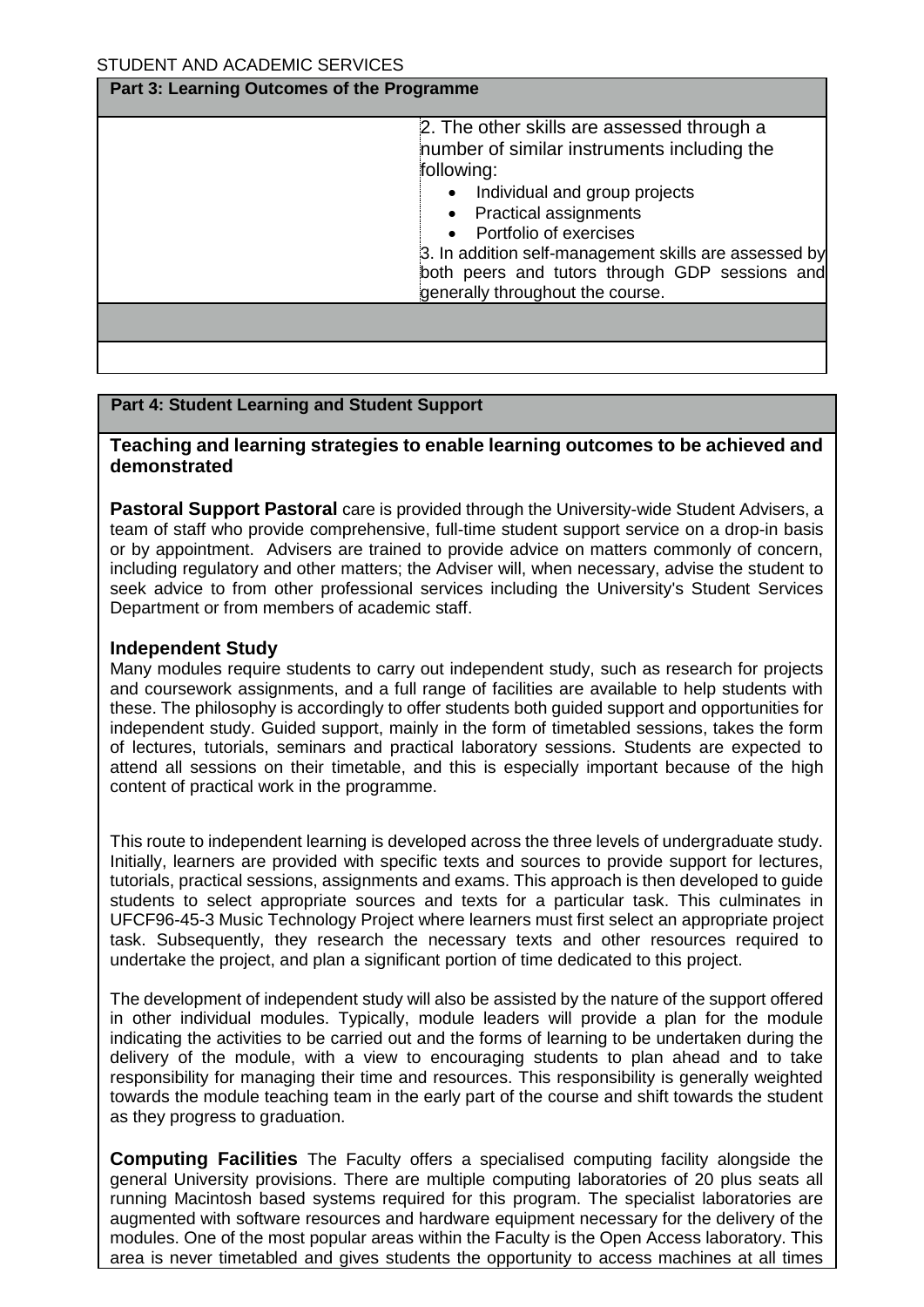#### **Part 3: Learning Outcomes of the Programme**

| 2. The other skills are assessed through a<br>number of similar instruments including the<br>following:<br>Individual and group projects<br><b>Practical assignments</b><br>Portfolio of exercises<br>3. In addition self-management skills are assessed by |  |
|-------------------------------------------------------------------------------------------------------------------------------------------------------------------------------------------------------------------------------------------------------------|--|
| both peers and tutors through GDP sessions and<br>generally throughout the course.                                                                                                                                                                          |  |
|                                                                                                                                                                                                                                                             |  |
|                                                                                                                                                                                                                                                             |  |

#### **Part 4: Student Learning and Student Support**

## **Teaching and learning strategies to enable learning outcomes to be achieved and demonstrated**

**Pastoral Support Pastoral** care is provided through the University-wide Student Advisers, a team of staff who provide comprehensive, full-time student support service on a drop-in basis or by appointment. Advisers are trained to provide advice on matters commonly of concern, including regulatory and other matters; the Adviser will, when necessary, advise the student to seek advice to from other professional services including the University's Student Services Department or from members of academic staff.

## **Independent Study**

Many modules require students to carry out independent study, such as research for projects and coursework assignments, and a full range of facilities are available to help students with these. The philosophy is accordingly to offer students both guided support and opportunities for independent study. Guided support, mainly in the form of timetabled sessions, takes the form of lectures, tutorials, seminars and practical laboratory sessions. Students are expected to attend all sessions on their timetable, and this is especially important because of the high content of practical work in the programme.

This route to independent learning is developed across the three levels of undergraduate study. Initially, learners are provided with specific texts and sources to provide support for lectures, tutorials, practical sessions, assignments and exams. This approach is then developed to guide students to select appropriate sources and texts for a particular task. This culminates in UFCF96-45-3 Music Technology Project where learners must first select an appropriate project task. Subsequently, they research the necessary texts and other resources required to undertake the project, and plan a significant portion of time dedicated to this project.

The development of independent study will also be assisted by the nature of the support offered in other individual modules. Typically, module leaders will provide a plan for the module indicating the activities to be carried out and the forms of learning to be undertaken during the delivery of the module, with a view to encouraging students to plan ahead and to take responsibility for managing their time and resources. This responsibility is generally weighted towards the module teaching team in the early part of the course and shift towards the student as they progress to graduation.

**Computing Facilities** The Faculty offers a specialised computing facility alongside the general University provisions. There are multiple computing laboratories of 20 plus seats all running Macintosh based systems required for this program. The specialist laboratories are augmented with software resources and hardware equipment necessary for the delivery of the modules. One of the most popular areas within the Faculty is the Open Access laboratory. This area is never timetabled and gives students the opportunity to access machines at all times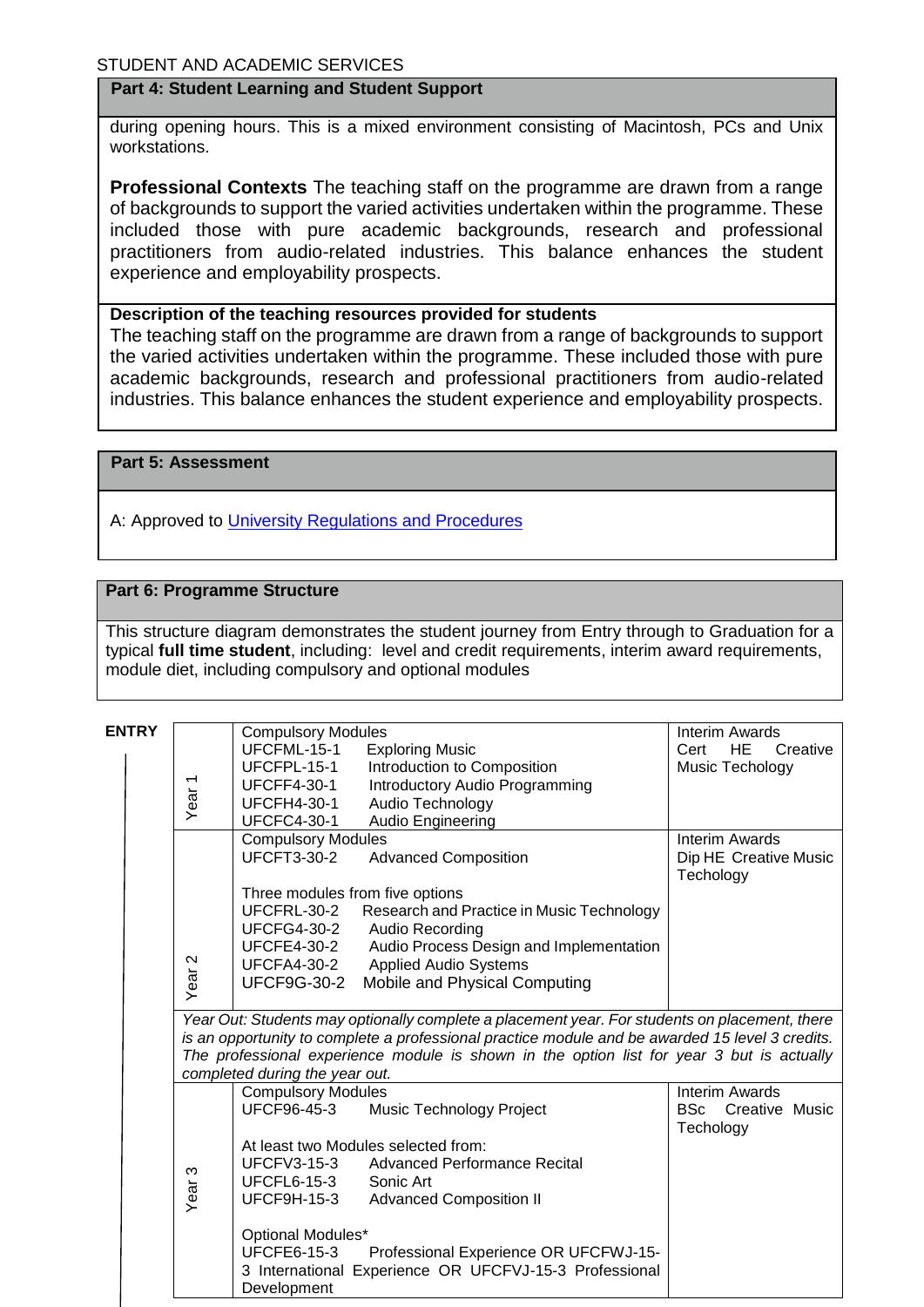#### **Part 4: Student Learning and Student Support**

during opening hours. This is a mixed environment consisting of Macintosh, PCs and Unix workstations.

**Professional Contexts** The teaching staff on the programme are drawn from a range of backgrounds to support the varied activities undertaken within the programme. These included those with pure academic backgrounds, research and professional practitioners from audio-related industries. This balance enhances the student experience and employability prospects.

#### **Description of the teaching resources provided for students**

The teaching staff on the programme are drawn from a range of backgrounds to support the varied activities undertaken within the programme. These included those with pure academic backgrounds, research and professional practitioners from audio-related industries. This balance enhances the student experience and employability prospects.

**Part 5: Assessment**

A: Approved to [University Regulations and Procedures](http://www1.uwe.ac.uk/students/academicadvice/assessments/regulationsandprocedures.aspx)

#### **Part 6: Programme Structure**

This structure diagram demonstrates the student journey from Entry through to Graduation for a typical **full time student**, including: level and credit requirements, interim award requirements, module diet, including compulsory and optional modules

| <b>ENTRY</b> |                                                                                                 |                                                                                               | <b>Compulsory Modules</b>           |                                                                                           | <b>Interim Awards</b>         |  |
|--------------|-------------------------------------------------------------------------------------------------|-----------------------------------------------------------------------------------------------|-------------------------------------|-------------------------------------------------------------------------------------------|-------------------------------|--|
|              |                                                                                                 |                                                                                               | UFCFML-15-1                         | <b>Exploring Music</b>                                                                    | <b>HE</b><br>Cert<br>Creative |  |
|              |                                                                                                 |                                                                                               | UFCFPL-15-1                         | Introduction to Composition                                                               | Music Techology               |  |
|              |                                                                                                 | Year <sub>1</sub>                                                                             | <b>UFCFF4-30-1</b>                  | Introductory Audio Programming                                                            |                               |  |
|              |                                                                                                 |                                                                                               | <b>UFCFH4-30-1</b>                  | Audio Technology                                                                          |                               |  |
|              |                                                                                                 |                                                                                               | <b>UFCFC4-30-1</b>                  | Audio Engineering                                                                         |                               |  |
|              |                                                                                                 |                                                                                               | <b>Compulsory Modules</b>           |                                                                                           | <b>Interim Awards</b>         |  |
|              |                                                                                                 |                                                                                               | <b>UFCFT3-30-2</b>                  | <b>Advanced Composition</b>                                                               | Dip HE Creative Music         |  |
|              |                                                                                                 |                                                                                               |                                     |                                                                                           | Techology                     |  |
|              |                                                                                                 |                                                                                               | Three modules from five options     |                                                                                           |                               |  |
|              |                                                                                                 |                                                                                               | UFCFRL-30-2                         | Research and Practice in Music Technology                                                 |                               |  |
|              |                                                                                                 |                                                                                               | <b>UFCFG4-30-2</b>                  | Audio Recording                                                                           |                               |  |
|              |                                                                                                 |                                                                                               | <b>UFCFE4-30-2</b>                  | Audio Process Design and Implementation                                                   |                               |  |
|              |                                                                                                 |                                                                                               | <b>UFCFA4-30-2</b>                  | <b>Applied Audio Systems</b>                                                              |                               |  |
|              |                                                                                                 | Year <sub>2</sub>                                                                             | <b>UFCF9G-30-2</b>                  | Mobile and Physical Computing                                                             |                               |  |
|              |                                                                                                 |                                                                                               |                                     |                                                                                           |                               |  |
|              |                                                                                                 | Year Out: Students may optionally complete a placement year. For students on placement, there |                                     |                                                                                           |                               |  |
|              | is an opportunity to complete a professional practice module and be awarded 15 level 3 credits. |                                                                                               |                                     |                                                                                           |                               |  |
|              |                                                                                                 |                                                                                               |                                     | The professional experience module is shown in the option list for year 3 but is actually |                               |  |
|              |                                                                                                 |                                                                                               | completed during the year out.      |                                                                                           |                               |  |
|              |                                                                                                 |                                                                                               | Compulsory Modules                  |                                                                                           | <b>Interim Awards</b>         |  |
|              |                                                                                                 |                                                                                               | UFCF96-45-3                         | <b>Music Technology Project</b>                                                           | BSc<br>Creative Music         |  |
|              |                                                                                                 |                                                                                               |                                     |                                                                                           | Techology                     |  |
|              |                                                                                                 |                                                                                               | At least two Modules selected from: |                                                                                           |                               |  |
|              |                                                                                                 |                                                                                               | <b>UFCFV3-15-3</b>                  | <b>Advanced Performance Recital</b>                                                       |                               |  |
|              |                                                                                                 |                                                                                               | <b>UFCFL6-15-3</b>                  | Sonic Art                                                                                 |                               |  |
|              |                                                                                                 | Year <sub>3</sub>                                                                             | <b>UFCF9H-15-3</b>                  | <b>Advanced Composition II</b>                                                            |                               |  |
|              |                                                                                                 |                                                                                               | Optional Modules*                   |                                                                                           |                               |  |
|              |                                                                                                 |                                                                                               | <b>UFCFE6-15-3</b>                  | Professional Experience OR UFCFWJ-15-                                                     |                               |  |
|              |                                                                                                 |                                                                                               |                                     | 3 International Experience OR UFCFVJ-15-3 Professional                                    |                               |  |
|              |                                                                                                 |                                                                                               | Development                         |                                                                                           |                               |  |
|              |                                                                                                 |                                                                                               |                                     |                                                                                           |                               |  |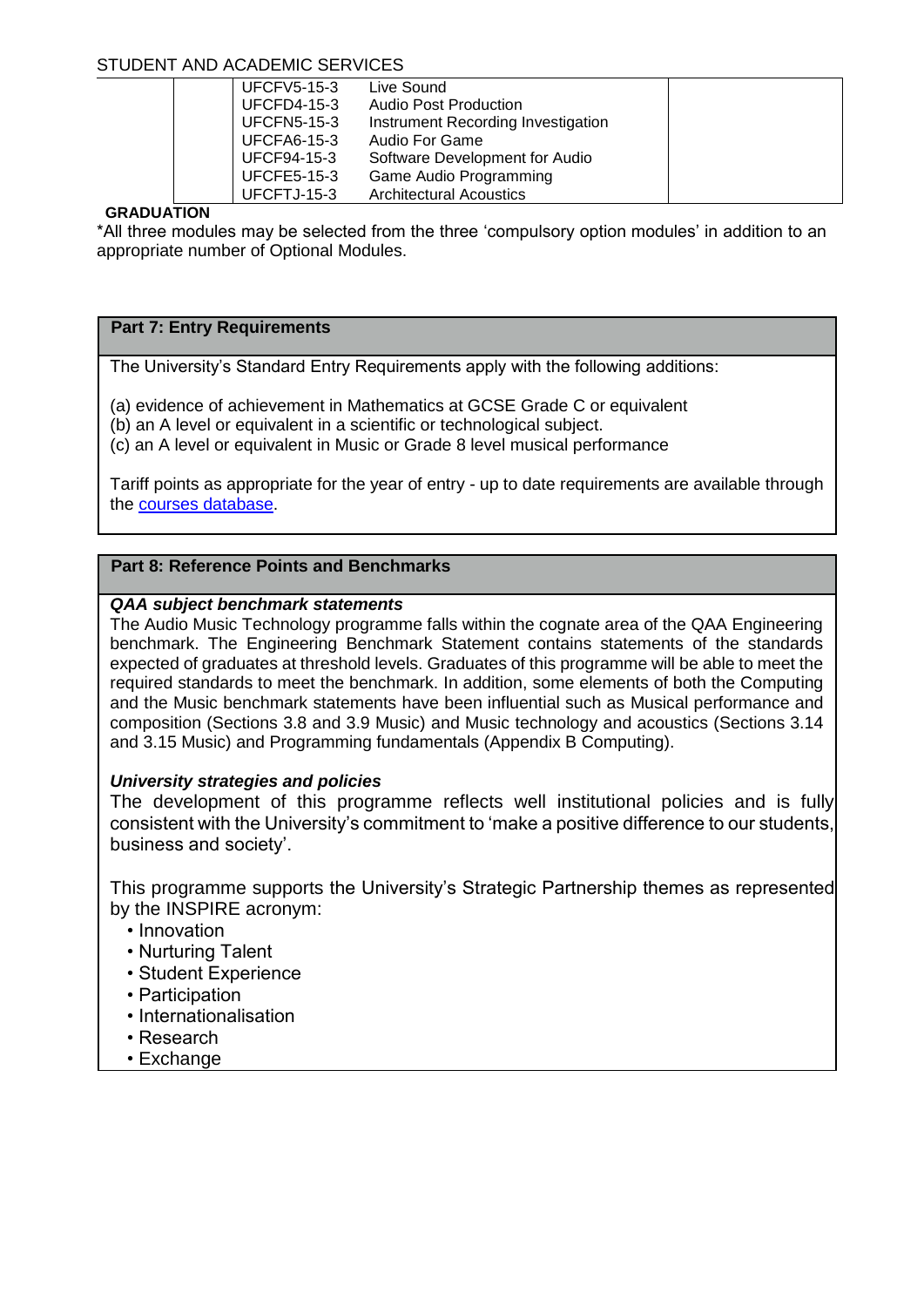| <b>UFCFV5-15-3</b> | Live Sound                         |  |
|--------------------|------------------------------------|--|
| <b>UFCFD4-15-3</b> | <b>Audio Post Production</b>       |  |
| <b>UFCFN5-15-3</b> | Instrument Recording Investigation |  |
| <b>UFCFA6-15-3</b> | Audio For Game                     |  |
| <b>UFCF94-15-3</b> | Software Development for Audio     |  |
| <b>UFCFE5-15-3</b> | Game Audio Programming             |  |
| UFCFTJ-15-3        | <b>Architectural Acoustics</b>     |  |
|                    |                                    |  |

## **GRADUATION**

\*All three modules may be selected from the three 'compulsory option modules' in addition to an appropriate number of Optional Modules.

## **Part 7: Entry Requirements**

The University's Standard Entry Requirements apply with the following additions:

(a) evidence of achievement in Mathematics at GCSE Grade C or equivalent

(b) an A level or equivalent in a scientific or technological subject.

(c) an A level or equivalent in Music or Grade 8 level musical performance

Tariff points as appropriate for the year of entry - up to date requirements are available through the [courses database.](http://www1.uwe.ac.uk/whatcanistudy/courses)

# **Part 8: Reference Points and Benchmarks**

## *QAA subject benchmark statements*

The Audio Music Technology programme falls within the cognate area of the QAA Engineering benchmark. The Engineering Benchmark Statement contains statements of the standards expected of graduates at threshold levels. Graduates of this programme will be able to meet the required standards to meet the benchmark. In addition, some elements of both the Computing and the Music benchmark statements have been influential such as Musical performance and composition (Sections 3.8 and 3.9 Music) and Music technology and acoustics (Sections 3.14 and 3.15 Music) and Programming fundamentals (Appendix B Computing).

## *University strategies and policies*

The development of this programme reflects well institutional policies and is fully consistent with the University's commitment to 'make a positive difference to our students, business and society'.

This programme supports the University's Strategic Partnership themes as represented by the INSPIRE acronym:

- Innovation
- Nurturing Talent
- Student Experience
- Participation
- Internationalisation
- Research
- Exchange